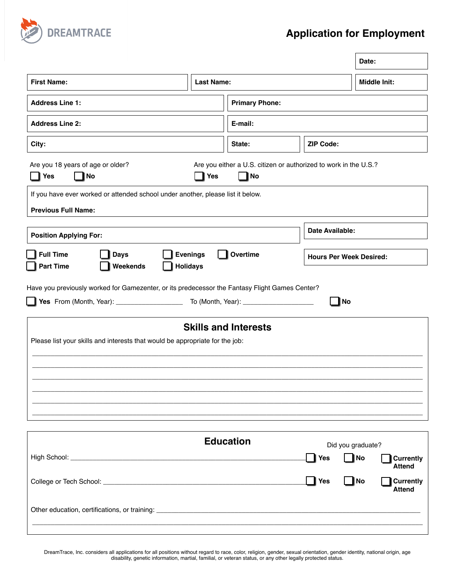

## **Application for Employment**

|                                                                                                                   |                   |                                                                          |                    | Date:                                                          |  |
|-------------------------------------------------------------------------------------------------------------------|-------------------|--------------------------------------------------------------------------|--------------------|----------------------------------------------------------------|--|
| <b>First Name:</b>                                                                                                | <b>Last Name:</b> |                                                                          |                    | <b>Middle Init:</b>                                            |  |
| <b>Address Line 1:</b>                                                                                            |                   | <b>Primary Phone:</b>                                                    |                    |                                                                |  |
| <b>Address Line 2:</b>                                                                                            |                   | E-mail:                                                                  |                    |                                                                |  |
| City:                                                                                                             |                   | State:                                                                   | <b>ZIP Code:</b>   |                                                                |  |
| Are you 18 years of age or older?<br>  No<br>$\vert$ Yes                                                          | $\vert$ Yes       | Are you either a U.S. citizen or authorized to work in the U.S.?<br>  No |                    |                                                                |  |
| If you have ever worked or attended school under another, please list it below.<br><b>Previous Full Name:</b>     |                   |                                                                          |                    |                                                                |  |
| <b>Position Applying For:</b>                                                                                     |                   |                                                                          |                    | Date Available:                                                |  |
| <b>Full Time</b><br><b>Evenings</b><br>Overtime<br><b>Days</b><br><b>Part Time</b><br>Weekends<br><b>Holidays</b> |                   |                                                                          |                    | <b>Hours Per Week Desired:</b>                                 |  |
| Please list your skills and interests that would be appropriate for the job:                                      |                   | <b>Skills and Interests</b>                                              | No                 |                                                                |  |
|                                                                                                                   |                   |                                                                          |                    |                                                                |  |
|                                                                                                                   |                   | <b>Education</b>                                                         | <b>Yes</b>         | Did you graduate?<br>  No<br><b>Currently</b><br><b>Attend</b> |  |
|                                                                                                                   |                   |                                                                          | $\blacksquare$ Yes | <b>No</b><br><b>Currently</b><br><b>Attend</b>                 |  |
|                                                                                                                   |                   |                                                                          |                    |                                                                |  |

DreamTrace, Inc. considers all applications for all positions without regard to race, color, religion, gender, sexual orientation, gender identity, national origin, age disability, genetic information, martial, familial, or veteran status, or any other legally protected status.